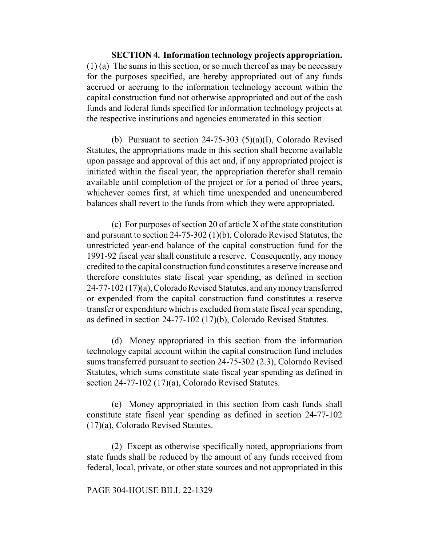**SECTION 4. Information technology projects appropriation.** (1) (a) The sums in this section, or so much thereof as may be necessary for the purposes specified, are hereby appropriated out of any funds accrued or accruing to the information technology account within the capital construction fund not otherwise appropriated and out of the cash funds and federal funds specified for information technology projects at the respective institutions and agencies enumerated in this section.

(b) Pursuant to section  $24-75-303$  (5)(a)(I), Colorado Revised Statutes, the appropriations made in this section shall become available upon passage and approval of this act and, if any appropriated project is initiated within the fiscal year, the appropriation therefor shall remain available until completion of the project or for a period of three years, whichever comes first, at which time unexpended and unencumbered balances shall revert to the funds from which they were appropriated.

(c) For purposes of section 20 of article X of the state constitution and pursuant to section 24-75-302 (1)(b), Colorado Revised Statutes, the unrestricted year-end balance of the capital construction fund for the 1991-92 fiscal year shall constitute a reserve. Consequently, any money credited to the capital construction fund constitutes a reserve increase and therefore constitutes state fiscal year spending, as defined in section 24-77-102 (17)(a), Colorado Revised Statutes, and any money transferred or expended from the capital construction fund constitutes a reserve transfer or expenditure which is excluded from state fiscal year spending, as defined in section 24-77-102 (17)(b), Colorado Revised Statutes.

(d) Money appropriated in this section from the information technology capital account within the capital construction fund includes sums transferred pursuant to section 24-75-302 (2.3), Colorado Revised Statutes, which sums constitute state fiscal year spending as defined in section 24-77-102 (17)(a), Colorado Revised Statutes.

(e) Money appropriated in this section from cash funds shall constitute state fiscal year spending as defined in section 24-77-102 (17)(a), Colorado Revised Statutes.

(2) Except as otherwise specifically noted, appropriations from state funds shall be reduced by the amount of any funds received from federal, local, private, or other state sources and not appropriated in this

## PAGE 304-HOUSE BILL 22-1329